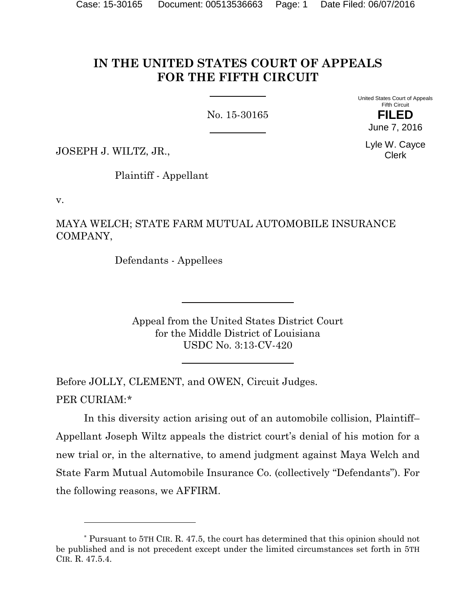# **IN THE UNITED STATES COURT OF APPEALS FOR THE FIFTH CIRCUIT**

No. 15-30165

United States Court of Appeals Fifth Circuit **FILED**

June 7, 2016

Lyle W. Cayce Clerk

JOSEPH J. WILTZ, JR.,

Plaintiff - Appellant

v.

l

MAYA WELCH; STATE FARM MUTUAL AUTOMOBILE INSURANCE COMPANY,

Defendants - Appellees

Appeal from the United States District Court for the Middle District of Louisiana USDC No. 3:13-CV-420

Before JOLLY, CLEMENT, and OWEN, Circuit Judges. PER CURIAM:[\\*](#page-0-0)

In this diversity action arising out of an automobile collision, Plaintiff– Appellant Joseph Wiltz appeals the district court's denial of his motion for a new trial or, in the alternative, to amend judgment against Maya Welch and State Farm Mutual Automobile Insurance Co. (collectively "Defendants"). For the following reasons, we AFFIRM.

<span id="page-0-0"></span><sup>\*</sup> Pursuant to 5TH CIR. R. 47.5, the court has determined that this opinion should not be published and is not precedent except under the limited circumstances set forth in 5TH CIR. R. 47.5.4.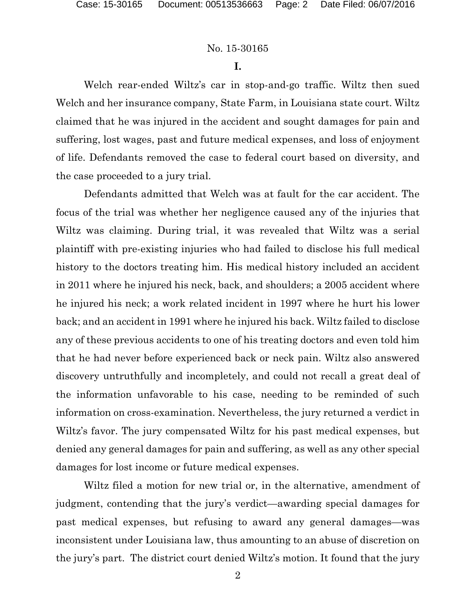**I.**

Welch rear-ended Wiltz's car in stop-and-go traffic. Wiltz then sued Welch and her insurance company, State Farm, in Louisiana state court. Wiltz claimed that he was injured in the accident and sought damages for pain and suffering, lost wages, past and future medical expenses, and loss of enjoyment of life. Defendants removed the case to federal court based on diversity, and the case proceeded to a jury trial.

Defendants admitted that Welch was at fault for the car accident. The focus of the trial was whether her negligence caused any of the injuries that Wiltz was claiming. During trial, it was revealed that Wiltz was a serial plaintiff with pre-existing injuries who had failed to disclose his full medical history to the doctors treating him. His medical history included an accident in 2011 where he injured his neck, back, and shoulders; a 2005 accident where he injured his neck; a work related incident in 1997 where he hurt his lower back; and an accident in 1991 where he injured his back. Wiltz failed to disclose any of these previous accidents to one of his treating doctors and even told him that he had never before experienced back or neck pain. Wiltz also answered discovery untruthfully and incompletely, and could not recall a great deal of the information unfavorable to his case, needing to be reminded of such information on cross-examination. Nevertheless, the jury returned a verdict in Wiltz's favor. The jury compensated Wiltz for his past medical expenses, but denied any general damages for pain and suffering, as well as any other special damages for lost income or future medical expenses.

Wiltz filed a motion for new trial or, in the alternative, amendment of judgment, contending that the jury's verdict—awarding special damages for past medical expenses, but refusing to award any general damages—was inconsistent under Louisiana law, thus amounting to an abuse of discretion on the jury's part. The district court denied Wiltz's motion. It found that the jury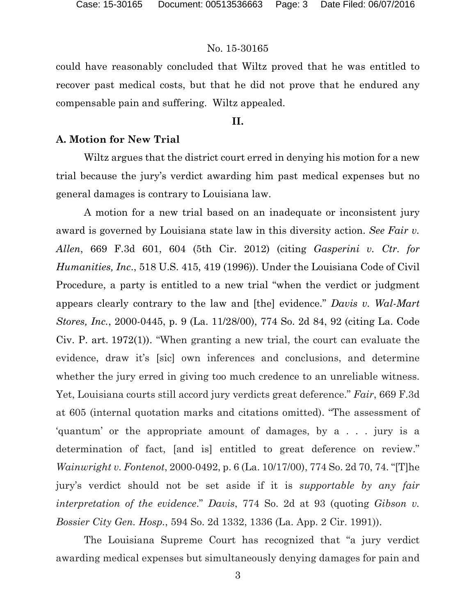could have reasonably concluded that Wiltz proved that he was entitled to recover past medical costs, but that he did not prove that he endured any compensable pain and suffering. Wiltz appealed.

## **II.**

## **A. Motion for New Trial**

Wiltz argues that the district court erred in denying his motion for a new trial because the jury's verdict awarding him past medical expenses but no general damages is contrary to Louisiana law.

A motion for a new trial based on an inadequate or inconsistent jury award is governed by Louisiana state law in this diversity action. *See Fair v. Allen*, 669 F.3d 601, 604 (5th Cir. 2012) (citing *Gasperini v. Ctr. for Humanities, Inc*., 518 U.S. 415, 419 (1996)). Under the Louisiana Code of Civil Procedure, a party is entitled to a new trial "when the verdict or judgment appears clearly contrary to the law and [the] evidence." *Davis v. Wal-Mart Stores, Inc.*, 2000-0445, p. 9 (La. 11/28/00), 774 So. 2d 84, 92 (citing La. Code Civ. P. art. 1972(1)). "When granting a new trial, the court can evaluate the evidence, draw it's [sic] own inferences and conclusions, and determine whether the jury erred in giving too much credence to an unreliable witness. Yet, Louisiana courts still accord jury verdicts great deference." *Fair*, 669 F.3d at 605 (internal quotation marks and citations omitted). "The assessment of 'quantum' or the appropriate amount of damages, by a . . . jury is a determination of fact, [and is] entitled to great deference on review." *Wainwright v. Fontenot*, 2000-0492, p. 6 (La. 10/17/00), 774 So. 2d 70, 74. "[T]he jury's verdict should not be set aside if it is *supportable by any fair interpretation of the evidence*." *Davis*, 774 So. 2d at 93 (quoting *Gibson v. Bossier City Gen. Hosp.*, 594 So. 2d 1332, 1336 (La. App. 2 Cir. 1991)).

The Louisiana Supreme Court has recognized that "a jury verdict awarding medical expenses but simultaneously denying damages for pain and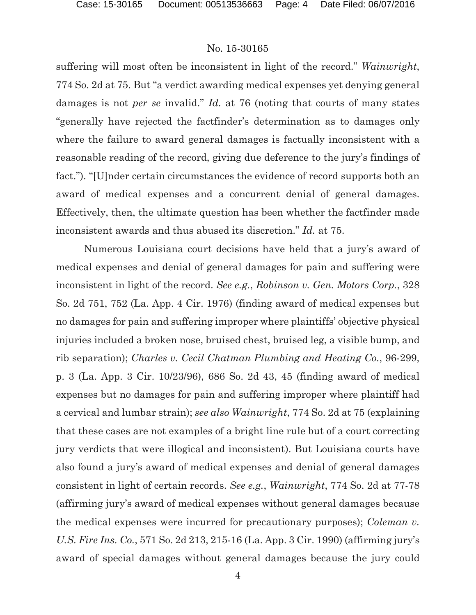suffering will most often be inconsistent in light of the record." *Wainwright*, 774 So. 2d at 75. But "a verdict awarding medical expenses yet denying general damages is not *per se* invalid." *Id.* at 76 (noting that courts of many states "generally have rejected the factfinder's determination as to damages only where the failure to award general damages is factually inconsistent with a reasonable reading of the record, giving due deference to the jury's findings of fact."). "[U]nder certain circumstances the evidence of record supports both an award of medical expenses and a concurrent denial of general damages. Effectively, then, the ultimate question has been whether the factfinder made inconsistent awards and thus abused its discretion." *Id.* at 75.

Numerous Louisiana court decisions have held that a jury's award of medical expenses and denial of general damages for pain and suffering were inconsistent in light of the record. *See e.g.*, *Robinson v. Gen. Motors Corp.*, 328 So. 2d 751, 752 (La. App. 4 Cir. 1976) (finding award of medical expenses but no damages for pain and suffering improper where plaintiffs' objective physical injuries included a broken nose, bruised chest, bruised leg, a visible bump, and rib separation); *Charles v. Cecil Chatman Plumbing and Heating Co.*, 96-299, p. 3 (La. App. 3 Cir. 10/23/96), 686 So. 2d 43, 45 (finding award of medical expenses but no damages for pain and suffering improper where plaintiff had a cervical and lumbar strain); *see also Wainwright*, 774 So. 2d at 75 (explaining that these cases are not examples of a bright line rule but of a court correcting jury verdicts that were illogical and inconsistent). But Louisiana courts have also found a jury's award of medical expenses and denial of general damages consistent in light of certain records. *See e.g.*, *Wainwright*, 774 So. 2d at 77-78 (affirming jury's award of medical expenses without general damages because the medical expenses were incurred for precautionary purposes); *Coleman v. U.S. Fire Ins. Co.*, 571 So. 2d 213, 215-16 (La. App. 3 Cir. 1990) (affirming jury's award of special damages without general damages because the jury could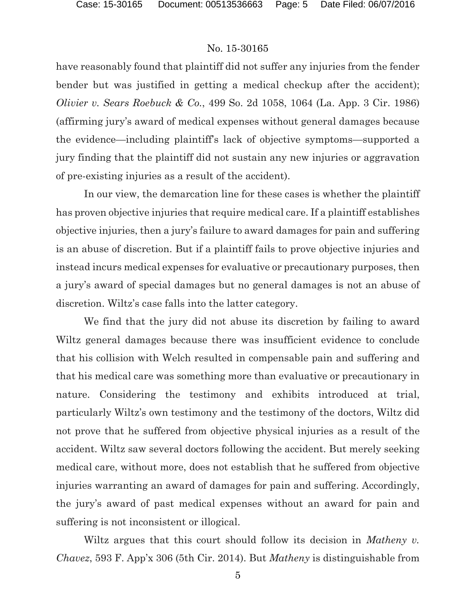have reasonably found that plaintiff did not suffer any injuries from the fender bender but was justified in getting a medical checkup after the accident); *Olivier v. Sears Roebuck & Co.*, 499 So. 2d 1058, 1064 (La. App. 3 Cir. 1986) (affirming jury's award of medical expenses without general damages because the evidence—including plaintiff's lack of objective symptoms—supported a jury finding that the plaintiff did not sustain any new injuries or aggravation of pre-existing injuries as a result of the accident).

In our view, the demarcation line for these cases is whether the plaintiff has proven objective injuries that require medical care. If a plaintiff establishes objective injuries, then a jury's failure to award damages for pain and suffering is an abuse of discretion. But if a plaintiff fails to prove objective injuries and instead incurs medical expenses for evaluative or precautionary purposes, then a jury's award of special damages but no general damages is not an abuse of discretion. Wiltz's case falls into the latter category.

We find that the jury did not abuse its discretion by failing to award Wiltz general damages because there was insufficient evidence to conclude that his collision with Welch resulted in compensable pain and suffering and that his medical care was something more than evaluative or precautionary in nature. Considering the testimony and exhibits introduced at trial, particularly Wiltz's own testimony and the testimony of the doctors, Wiltz did not prove that he suffered from objective physical injuries as a result of the accident. Wiltz saw several doctors following the accident. But merely seeking medical care, without more, does not establish that he suffered from objective injuries warranting an award of damages for pain and suffering. Accordingly, the jury's award of past medical expenses without an award for pain and suffering is not inconsistent or illogical.

Wiltz argues that this court should follow its decision in *Matheny v. Chavez*, 593 F. App'x 306 (5th Cir. 2014). But *Matheny* is distinguishable from

5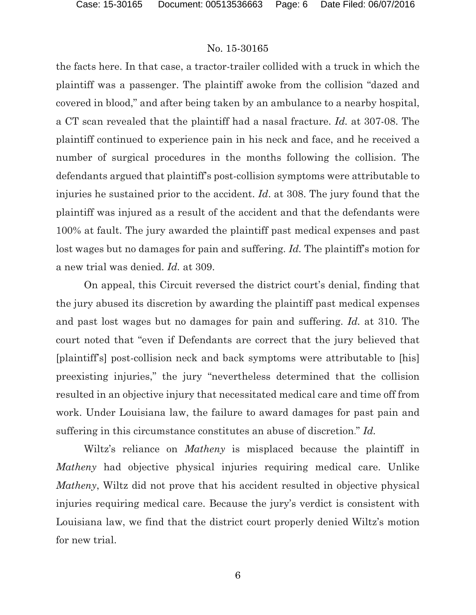the facts here. In that case, a tractor-trailer collided with a truck in which the plaintiff was a passenger. The plaintiff awoke from the collision "dazed and covered in blood," and after being taken by an ambulance to a nearby hospital, a CT scan revealed that the plaintiff had a nasal fracture. *Id.* at 307-08. The plaintiff continued to experience pain in his neck and face, and he received a number of surgical procedures in the months following the collision. The defendants argued that plaintiff's post-collision symptoms were attributable to injuries he sustained prior to the accident. *Id*. at 308. The jury found that the plaintiff was injured as a result of the accident and that the defendants were 100% at fault. The jury awarded the plaintiff past medical expenses and past lost wages but no damages for pain and suffering. *Id*. The plaintiff's motion for a new trial was denied. *Id.* at 309.

On appeal, this Circuit reversed the district court's denial, finding that the jury abused its discretion by awarding the plaintiff past medical expenses and past lost wages but no damages for pain and suffering. *Id.* at 310. The court noted that "even if Defendants are correct that the jury believed that [plaintiff's] post-collision neck and back symptoms were attributable to [his] preexisting injuries," the jury "nevertheless determined that the collision resulted in an objective injury that necessitated medical care and time off from work. Under Louisiana law, the failure to award damages for past pain and suffering in this circumstance constitutes an abuse of discretion." *Id.*

Wiltz's reliance on *Matheny* is misplaced because the plaintiff in *Matheny* had objective physical injuries requiring medical care. Unlike *Matheny*, Wiltz did not prove that his accident resulted in objective physical injuries requiring medical care. Because the jury's verdict is consistent with Louisiana law, we find that the district court properly denied Wiltz's motion for new trial.

6